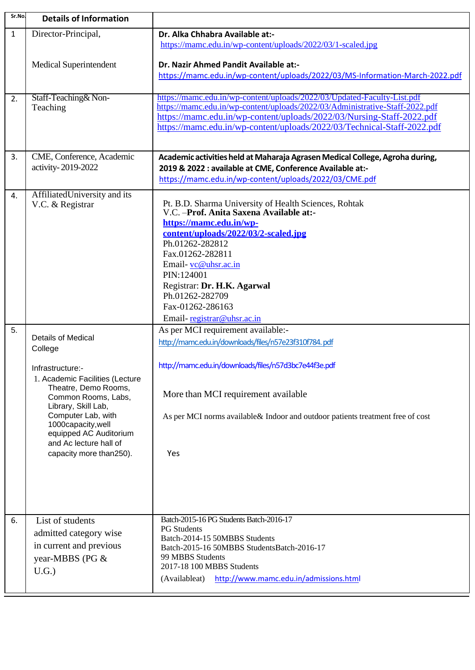| Sr.No.       | <b>Details of Information</b>               |                                                                                                                                                         |
|--------------|---------------------------------------------|---------------------------------------------------------------------------------------------------------------------------------------------------------|
| $\mathbf{1}$ | Director-Principal,                         | Dr. Alka Chhabra Available at:-                                                                                                                         |
|              |                                             | https://mamc.edu.in/wp-content/uploads/2022/03/1-scaled.jpg                                                                                             |
|              | <b>Medical Superintendent</b>               | Dr. Nazir Ahmed Pandit Available at:-                                                                                                                   |
|              |                                             | https://mamc.edu.in/wp-content/uploads/2022/03/MS-Information-March-2022.pdf                                                                            |
|              |                                             |                                                                                                                                                         |
| 2.           | Staff-Teaching& Non-                        | https://mamc.edu.in/wp-content/uploads/2022/03/Updated-Faculty-List.pdf<br>https://mamc.edu.in/wp-content/uploads/2022/03/Administrative-Staff-2022.pdf |
|              | Teaching                                    | https://mamc.edu.in/wp-content/uploads/2022/03/Nursing-Staff-2022.pdf                                                                                   |
|              |                                             | https://mamc.edu.in/wp-content/uploads/2022/03/Technical-Staff-2022.pdf                                                                                 |
|              |                                             |                                                                                                                                                         |
| 3.           | CME, Conference, Academic                   | Academic activities held at Maharaja Agrasen Medical College, Agroha during,                                                                            |
|              | activity-2019-2022                          | 2019 & 2022 : available at CME, Conference Available at:-                                                                                               |
|              |                                             | https://mamc.edu.in/wp-content/uploads/2022/03/CME.pdf                                                                                                  |
| 4.           | AffiliatedUniversity and its                |                                                                                                                                                         |
|              | V.C. & Registrar                            | Pt. B.D. Sharma University of Health Sciences, Rohtak<br>V.C. - Prof. Anita Saxena Available at:-                                                       |
|              |                                             | https://mamc.edu.in/wp-                                                                                                                                 |
|              |                                             | content/uploads/2022/03/2-scaled.ipg                                                                                                                    |
|              |                                             | Ph.01262-282812                                                                                                                                         |
|              |                                             | Fax.01262-282811<br>Email-vc@uhsr.ac.in                                                                                                                 |
|              |                                             | PIN:124001                                                                                                                                              |
|              |                                             | Registrar: Dr. H.K. Agarwal                                                                                                                             |
|              |                                             | Ph.01262-282709                                                                                                                                         |
|              |                                             | Fax-01262-286163<br>Email-registrar@uhsr.ac.in                                                                                                          |
| 5.           |                                             | As per MCI requirement available:-                                                                                                                      |
|              | <b>Details of Medical</b>                   | http://mamc.edu.in/downloads/files/n57e23f310f784.pdf                                                                                                   |
|              | College                                     |                                                                                                                                                         |
|              | Infrastructure:-                            | http://mamc.edu.in/downloads/files/n57d3bc7e44f3e.pdf                                                                                                   |
|              | 1. Academic Facilities (Lecture             |                                                                                                                                                         |
|              | Theatre, Demo Rooms,<br>Common Rooms, Labs, | More than MCI requirement available                                                                                                                     |
|              | Library, Skill Lab,                         |                                                                                                                                                         |
|              | Computer Lab, with<br>1000capacity, well    | As per MCI norms available & Indoor and outdoor patients treatment free of cost                                                                         |
|              | equipped AC Auditorium                      |                                                                                                                                                         |
|              | and Ac lecture hall of                      |                                                                                                                                                         |
|              | capacity more than250).                     | Yes                                                                                                                                                     |
|              |                                             |                                                                                                                                                         |
|              |                                             |                                                                                                                                                         |
|              |                                             |                                                                                                                                                         |
|              |                                             |                                                                                                                                                         |
| 6.           | List of students                            | Batch-2015-16 PG Students Batch-2016-17<br><b>PG</b> Students                                                                                           |
|              | admitted category wise                      | Batch-2014-15 50MBBS Students                                                                                                                           |
|              | in current and previous                     | Batch-2015-16 50MBBS StudentsBatch-2016-17<br>99 MBBS Students                                                                                          |
|              | year-MBBS (PG &                             | 2017-18 100 MBBS Students                                                                                                                               |
|              | U.G.                                        | http://www.mamc.edu.in/admissions.html<br>(Availableat)                                                                                                 |
|              |                                             |                                                                                                                                                         |